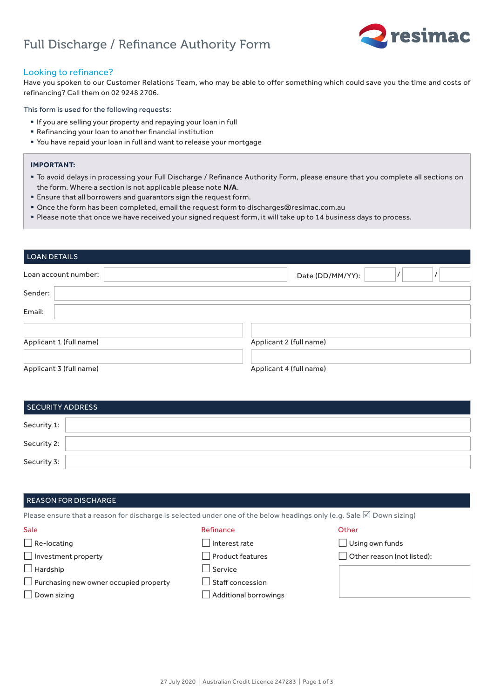# Full Discharge / Refinance Authority Form



## Looking to refinance?

Have you spoken to our Customer Relations Team, who may be able to offer something which could save you the time and costs of refinancing? Call them on 02 9248 2706.

### This form is used for the following requests:

- § If you are selling your property and repaying your loan in full
- § Refinancing your loan to another financial institution
- § You have repaid your loan in full and want to release your mortgage

### **IMPORTANT:**

- § To avoid delays in processing your Full Discharge / Refinance Authority Form, please ensure that you complete all sections on the form. Where a section is not applicable please note **N/A**.
- **Ensure that all borrowers and guarantors sign the request form.**
- § Once the form has been completed, email the request form to discharges@resimac.com.au
- § Please note that once we have received your signed request form, it will take up to 14 business days to process.

| <b>LOAN DETAILS</b>     |                         |  |
|-------------------------|-------------------------|--|
| Loan account number:    | Date (DD/MM/YY):        |  |
| Sender:                 |                         |  |
| Email:                  |                         |  |
|                         |                         |  |
| Applicant 1 (full name) | Applicant 2 (full name) |  |
|                         |                         |  |
| Applicant 3 (full name) | Applicant 4 (full name) |  |

| SECURITY ADDRESS |  |
|------------------|--|
| Security 1:      |  |
| Security 2:      |  |
| Security 3:      |  |

### REASON FOR DISCHARGE

Please ensure that a reason for discharge is selected under one of the below headings only (e.g. Sale  $\Box$  Down sizing)

#### Sale

#### Refinance

- $\Box$  Interest rate
- $\Box$  Product features
- £ Service
- $\Box$  Purchasing new owner occupied property
- $\square$  Down sizing

 $\Box$  Re-locating

 $\Box$  Hardship

 $\Box$  Investment property

- □ Staff concession
- $\Box$  Additional borrowings

### **Other**

- $\Box$  Using own funds
- $\Box$  Other reason (not listed):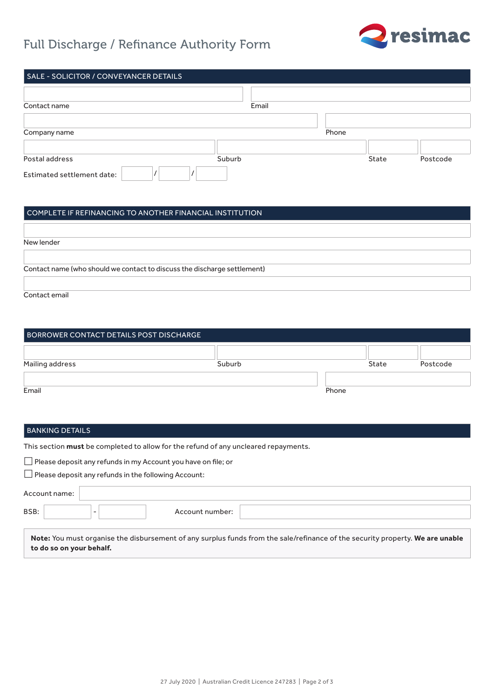# Full Discharge / Refinance Authority Form



| SALE - SOLICITOR / CONVEYANCER DETAILS |        |       |       |          |
|----------------------------------------|--------|-------|-------|----------|
|                                        |        |       |       |          |
| Contact name                           | Email  |       |       |          |
|                                        |        |       |       |          |
| Company name                           |        | Phone |       |          |
|                                        |        |       |       |          |
| Postal address                         | Suburb |       | State | Postcode |
| Estimated settlement date:             |        |       |       |          |

# COMPLETE IF REFINANCING TO ANOTHER FINANCIAL INSTITUTION

| New lender                                                               |  |
|--------------------------------------------------------------------------|--|
|                                                                          |  |
| Contact name (who should we contact to discuss the discharge settlement) |  |
|                                                                          |  |
|                                                                          |  |

Contact email

| BORROWER CONTACT DETAILS POST DISCHARGE |        |       |       |          |
|-----------------------------------------|--------|-------|-------|----------|
| Mailing address                         | Suburb |       | State | Postcode |
| Email                                   |        | Phone |       |          |

## BANKING DETAILS

This section **must** be completed to allow for the refund of any uncleared repayments.

 $\Box$  Please deposit any refunds in my Account you have on file; or

 $\Box$  Please deposit any refunds in the following Account:

| Account name: |                          |                 |                                                                                                                               |
|---------------|--------------------------|-----------------|-------------------------------------------------------------------------------------------------------------------------------|
| BSB:          |                          | Account number: |                                                                                                                               |
|               | to do so on your behalf. |                 | Note: You must organise the disbursement of any surplus funds from the sale/refinance of the security property. We are unable |